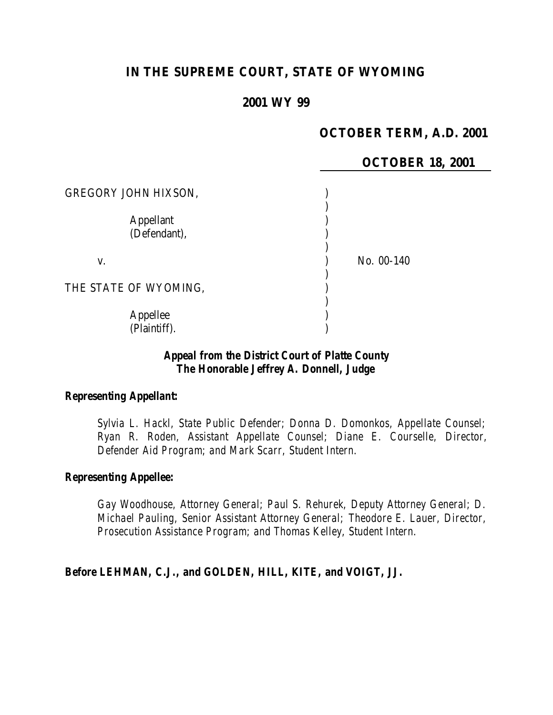# **IN THE SUPREME COURT, STATE OF WYOMING**

### **2001 WY 99**

## **OCTOBER TERM, A.D. 2001**

**18, 2001** 

|                             | <b>OCTOBER</b> |
|-----------------------------|----------------|
| <b>GREGORY JOHN HIXSON,</b> |                |
| <b>Appellant</b>            |                |
| (Defendant),                |                |
| V.                          | No. 00-140     |
| THE STATE OF WYOMING,       |                |
|                             |                |
| Appellee                    |                |
| (Plaintiff).                |                |

#### *Appeal from the District Court of Platte County The Honorable Jeffrey A. Donnell, Judge*

## *Representing Appellant:*

*Sylvia L. Hackl, State Public Defender; Donna D. Domonkos, Appellate Counsel; Ryan R. Roden, Assistant Appellate Counsel; Diane E. Courselle, Director, Defender Aid Program; and Mark Scarr, Student Intern.*

#### *Representing Appellee:*

*Gay Woodhouse, Attorney General; Paul S. Rehurek, Deputy Attorney General; D. Michael Pauling, Senior Assistant Attorney General; Theodore E. Lauer, Director, Prosecution Assistance Program; and Thomas Kelley, Student Intern.*

*Before LEHMAN, C.J., and GOLDEN, HILL, KITE, and VOIGT, JJ.*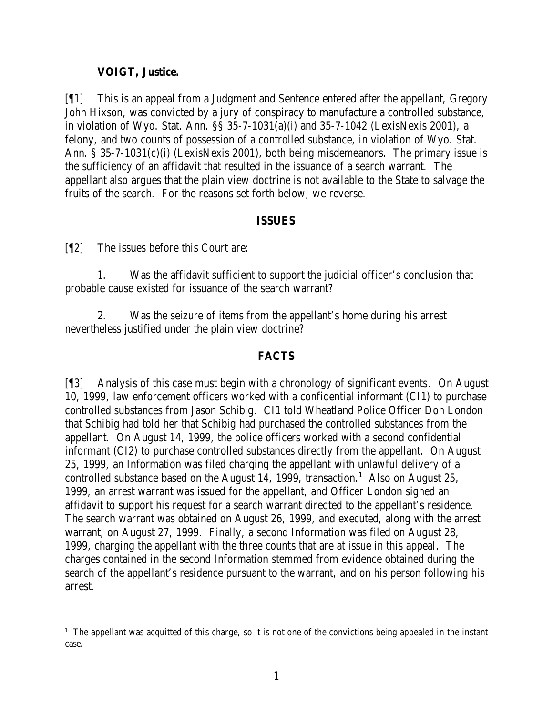### **VOIGT, Justice.**

[¶1] This is an appeal from a Judgment and Sentence entered after the appellant, Gregory John Hixson, was convicted by a jury of conspiracy to manufacture a controlled substance, in violation of Wyo. Stat. Ann. §§ 35-7-1031(a)(i) and 35-7-1042 (LexisNexis 2001), a felony, and two counts of possession of a controlled substance, in violation of Wyo. Stat. Ann. § 35-7-1031(c)(i) (LexisNexis 2001), both being misdemeanors. The primary issue is the sufficiency of an affidavit that resulted in the issuance of a search warrant. The appellant also argues that the plain view doctrine is not available to the State to salvage the fruits of the search. For the reasons set forth below, we reverse.

#### **ISSUES**

[¶2] The issues before this Court are:

1. Was the affidavit sufficient to support the judicial officer's conclusion that probable cause existed for issuance of the search warrant?

2. Was the seizure of items from the appellant's home during his arrest nevertheless justified under the plain view doctrine?

### **FACTS**

[¶3] Analysis of this case must begin with a chronology of significant events. On August 10, 1999, law enforcement officers worked with a confidential informant (CI1) to purchase controlled substances from Jason Schibig. CI1 told Wheatland Police Officer Don London that Schibig had told her that Schibig had purchased the controlled substances from the appellant. On August 14, 1999, the police officers worked with a second confidential informant (CI2) to purchase controlled substances directly from the appellant. On August 25, 1999, an Information was filed charging the appellant with unlawful delivery of a controlled substance based on the August 14, 1999, transaction.<sup>1</sup> Also on August 25, 1999, an arrest warrant was issued for the appellant, and Officer London signed an affidavit to support his request for a search warrant directed to the appellant's residence. The search warrant was obtained on August 26, 1999, and executed, along with the arrest warrant, on August 27, 1999. Finally, a second Information was filed on August 28, 1999, charging the appellant with the three counts that are at issue in this appeal. The charges contained in the second Information stemmed from evidence obtained during the search of the appellant's residence pursuant to the warrant, and on his person following his arrest.

<sup>&</sup>lt;sup>1</sup> The appellant was acquitted of this charge, so it is not one of the convictions being appealed in the instant case.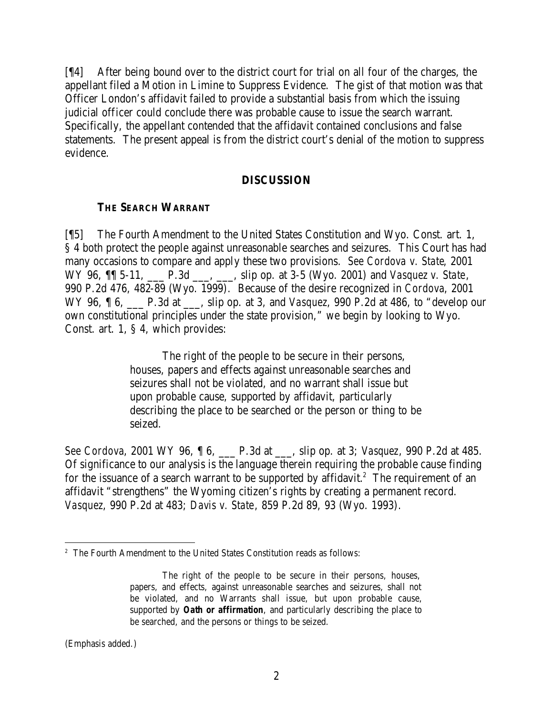[¶4] After being bound over to the district court for trial on all four of the charges, the appellant filed a Motion in Limine to Suppress Evidence. The gist of that motion was that Officer London's affidavit failed to provide a substantial basis from which the issuing judicial officer could conclude there was probable cause to issue the search warrant. Specifically, the appellant contended that the affidavit contained conclusions and false statements. The present appeal is from the district court's denial of the motion to suppress evidence.

#### **DISCUSSION**

#### **THE SEARCH WARRANT**

[¶5] The Fourth Amendment to the United States Constitution and Wyo. Const. art. 1, § 4 both protect the people against unreasonable searches and seizures. This Court has had many occasions to compare and apply these two provisions. *See Cordova v. State*, 2001 WY 96,  $\P$  5-11, P.3d , slip op. at 3-5 (Wyo. 2001) and *Vasquez v. State*, 990 P.2d 476, 482-89 (Wyo. 1999). Because of the desire recognized in *Cordova*, 2001 WY 96, ¶ 6, \_\_\_ P.3d at \_\_\_, slip op. at 3, and *Vasquez*, 990 P.2d at 486, to "develop our own constitutional principles under the state provision," we begin by looking to Wyo. Const. art. 1, § 4, which provides:

> The right of the people to be secure in their persons, houses, papers and effects against unreasonable searches and seizures shall not be violated, and no warrant shall issue but upon probable cause, supported by affidavit, particularly describing the place to be searched or the person or thing to be seized.

*See Cordova*, 2001 WY 96, ¶ 6, \_\_\_ P.3d at \_\_\_, slip op. at 3; *Vasquez*, 990 P.2d at 485. Of significance to our analysis is the language therein requiring the probable cause finding for the issuance of a search warrant to be supported by affidavit.<sup>2</sup> The requirement of an affidavit "strengthens" the Wyoming citizen's rights by creating a permanent record. *Vasquez*, 990 P.2d at 483; *Davis v. State*, 859 P.2d 89, 93 (Wyo. 1993).

(Emphasis added.)

<sup>&</sup>lt;sup>2</sup> The Fourth Amendment to the United States Constitution reads as follows:

The right of the people to be secure in their persons, houses, papers, and effects, against unreasonable searches and seizures, shall not be violated, and no Warrants shall issue, but upon probable cause, supported by *Oath or affirmation*, and particularly describing the place to be searched, and the persons or things to be seized.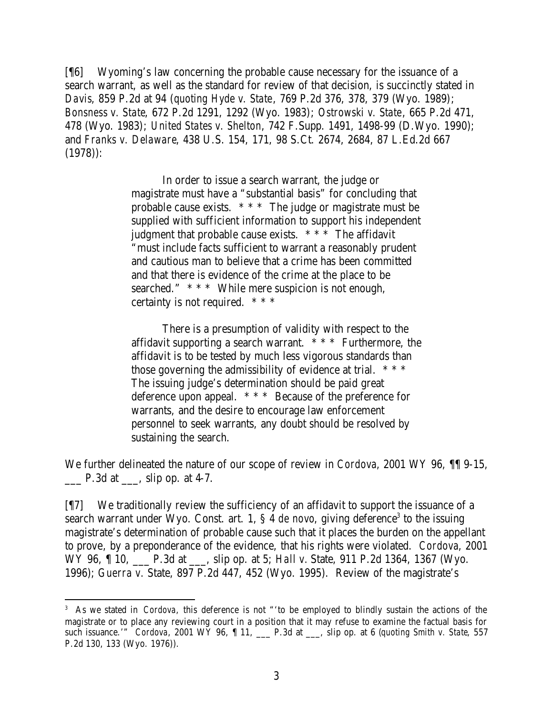[¶6] Wyoming's law concerning the probable cause necessary for the issuance of a search warrant, as well as the standard for review of that decision, is succinctly stated in *Davis*, 859 P.2d at 94 (*quoting Hyde v. State*, 769 P.2d 376, 378, 379 (Wyo. 1989); *Bonsness v. State*, 672 P.2d 1291, 1292 (Wyo. 1983); *Ostrowski v. State*, 665 P.2d 471, 478 (Wyo. 1983); *United States v. Shelton*, 742 F.Supp. 1491, 1498-99 (D.Wyo. 1990); and *Franks v. Delaware*, 438 U.S. 154, 171, 98 S.Ct. 2674, 2684, 87 L.Ed.2d 667 (1978)):

> In order to issue a search warrant, the judge or magistrate must have a "substantial basis" for concluding that probable cause exists. \* \* \* The judge or magistrate must be supplied with sufficient information to support his independent judgment that probable cause exists.  $***$  The affidavit "must include facts sufficient to warrant a reasonably prudent and cautious man to believe that a crime has been committed and that there is evidence of the crime at the place to be searched." \* \* \* While mere suspicion is not enough, certainty is not required. \* \* \*

> There is a presumption of validity with respect to the affidavit supporting a search warrant. \* \* \* Furthermore, the affidavit is to be tested by much less vigorous standards than those governing the admissibility of evidence at trial.  $***$ The issuing judge's determination should be paid great deference upon appeal. \* \* \* Because of the preference for warrants, and the desire to encourage law enforcement personnel to seek warrants, any doubt should be resolved by sustaining the search.

We further delineated the nature of our scope of review in *Cordova*, 2001 WY 96, ¶¶ 9-15,  $\Box$  P.3d at  $\Box$ , slip op. at 4-7.

[¶7] We traditionally review the sufficiency of an affidavit to support the issuance of a search warrant under Wyo. Const. art. 1, § 4 *de novo*, giving deference<sup>3</sup> to the issuing magistrate's determination of probable cause such that it places the burden on the appellant to prove, by a preponderance of the evidence, that his rights were violated. *Cordova*, 2001 WY 96, 10, P.3d at \_\_\_, slip op. at 5; *Hall v.* State, 911 P.2d 1364, 1367 (Wyo. 1996); *Guerra v.* State, 897 P.2d 447, 452 (Wyo. 1995). Review of the magistrate's

<sup>&</sup>lt;sup>3</sup> As we stated in *Cordova*, this deference is not "to be employed to blindly sustain the actions of the magistrate or to place any reviewing court in a position that it may refuse to examine the factual basis for such issuance.'" *Cordova*, 2001 WY 96, ¶ 11, \_\_\_ P.3d at \_\_\_, slip op. at 6 (*quoting Smith v. State*, 557 P.2d 130, 133 (Wyo. 1976)).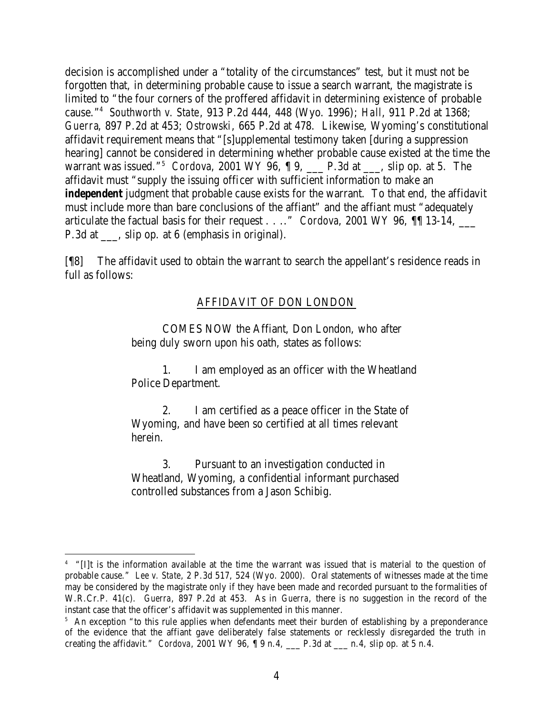decision is accomplished under a "totality of the circumstances" test, but it must not be forgotten that, in determining probable cause to issue a search warrant, the magistrate is limited to "the four corners of the proffered affidavit in determining existence of probable cause."<sup>4</sup> *Southworth v. State*, 913 P.2d 444, 448 (Wyo. 1996); *Hall*, 911 P.2d at 1368; *Guerra*, 897 P.2d at 453; *Ostrowski*, 665 P.2d at 478. Likewise, Wyoming's constitutional affidavit requirement means that "[s]upplemental testimony taken [during a suppression hearing] cannot be considered in determining whether probable cause existed at the time the warrant was issued."<sup>5</sup> *Cordova*, 2001 WY 96, ¶ 9, \_\_\_ P.3d at \_\_\_, slip op. at 5. The affidavit must "supply the issuing officer with sufficient information to make an *independent* judgment that probable cause exists for the warrant. To that end, the affidavit must include more than bare conclusions of the affiant" and the affiant must "adequately articulate the factual basis for their request . . .." *Cordova*, 2001 WY 96, ¶¶ 13-14, \_\_\_ P.3d at \_\_\_, slip op. at 6 (emphasis in original).

[¶8] The affidavit used to obtain the warrant to search the appellant's residence reads in full as follows:

## AFFIDAVIT OF DON LONDON

COMES NOW the Affiant, Don London, who after being duly sworn upon his oath, states as follows:

1. I am employed as an officer with the Wheatland Police Department.

2. I am certified as a peace officer in the State of Wyoming, and have been so certified at all times relevant herein.

3. Pursuant to an investigation conducted in Wheatland, Wyoming, a confidential informant purchased controlled substances from a Jason Schibig.

<sup>4</sup> "[I]t is the information available at the time the warrant was issued that is material to the question of probable cause." *Lee v. State*, 2 P.3d 517, 524 (Wyo. 2000). Oral statements of witnesses made at the time may be considered by the magistrate only if they have been made and recorded pursuant to the formalities of W.R.Cr.P. 41(c). *Guerra*, 897 P.2d at 453. As in *Guerra*, there is no suggestion in the record of the instant case that the officer's affidavit was supplemented in this manner.

<sup>&</sup>lt;sup>5</sup> An exception "to this rule applies when defendants meet their burden of establishing by a preponderance of the evidence that the affiant gave deliberately false statements or recklessly disregarded the truth in creating the affidavit." *Cordova*, 2001 WY 96, ¶ 9 n.4, \_\_\_ P.3d at \_\_\_ n.4, slip op. at 5 n.4.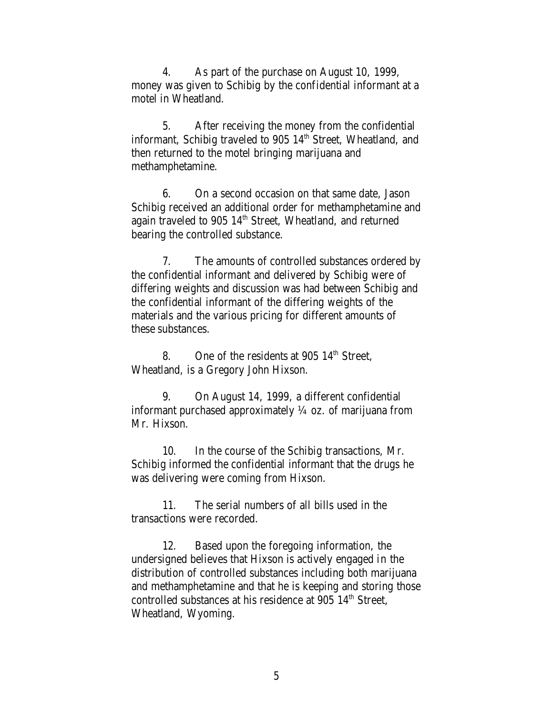4. As part of the purchase on August 10, 1999, money was given to Schibig by the confidential informant at a motel in Wheatland.

5. After receiving the money from the confidential informant, Schibig traveled to 905  $14<sup>th</sup>$  Street, Wheatland, and then returned to the motel bringing marijuana and methamphetamine.

6. On a second occasion on that same date, Jason Schibig received an additional order for methamphetamine and again traveled to 905 14<sup>th</sup> Street, Wheatland, and returned bearing the controlled substance.

7. The amounts of controlled substances ordered by the confidential informant and delivered by Schibig were of differing weights and discussion was had between Schibig and the confidential informant of the differing weights of the materials and the various pricing for different amounts of these substances.

8. One of the residents at 905  $14<sup>th</sup>$  Street, Wheatland, is a Gregory John Hixson.

9. On August 14, 1999, a different confidential informant purchased approximately  $\frac{1}{4}$  oz. of marijuana from Mr. Hixson.

10. In the course of the Schibig transactions, Mr. Schibig informed the confidential informant that the drugs he was delivering were coming from Hixson.

11. The serial numbers of all bills used in the transactions were recorded.

12. Based upon the foregoing information, the undersigned believes that Hixson is actively engaged in the distribution of controlled substances including both marijuana and methamphetamine and that he is keeping and storing those controlled substances at his residence at  $905 \; 14^{\text{th}}$  Street, Wheatland, Wyoming.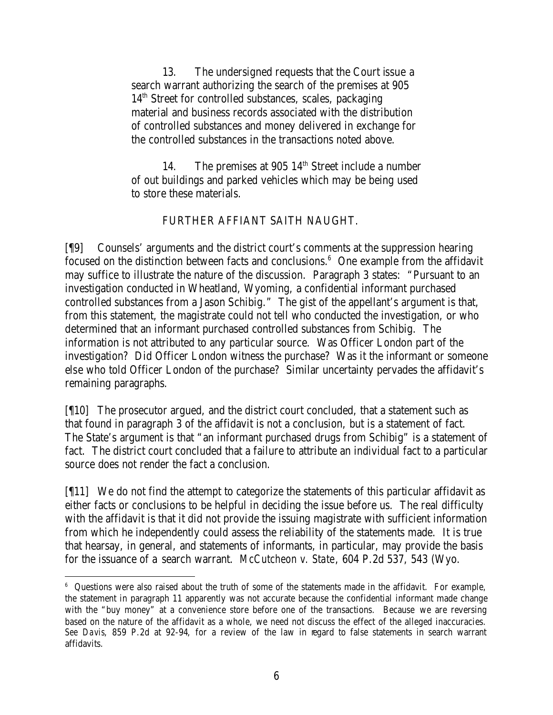13. The undersigned requests that the Court issue a search warrant authorizing the search of the premises at 905  $14<sup>th</sup>$  Street for controlled substances, scales, packaging material and business records associated with the distribution of controlled substances and money delivered in exchange for the controlled substances in the transactions noted above.

14. The premises at 905  $14<sup>th</sup>$  Street include a number of out buildings and parked vehicles which may be being used to store these materials.

#### FURTHER AFFIANT SAITH NAUGHT.

[¶9] Counsels' arguments and the district court's comments at the suppression hearing focused on the distinction between facts and conclusions.<sup>6</sup> One example from the affidavit may suffice to illustrate the nature of the discussion. Paragraph 3 states: "Pursuant to an investigation conducted in Wheatland, Wyoming, a confidential informant purchased controlled substances from a Jason Schibig." The gist of the appellant's argument is that, from this statement, the magistrate could not tell who conducted the investigation, or who determined that an informant purchased controlled substances from Schibig. The information is not attributed to any particular source. Was Officer London part of the investigation? Did Officer London witness the purchase? Was it the informant or someone else who told Officer London of the purchase? Similar uncertainty pervades the affidavit's remaining paragraphs.

[¶10] The prosecutor argued, and the district court concluded, that a statement such as that found in paragraph 3 of the affidavit is not a conclusion, but is a statement of fact. The State's argument is that "an informant purchased drugs from Schibig" is a statement of fact. The district court concluded that a failure to attribute an individual fact to a particular source does not render the fact a conclusion.

[¶11] We do not find the attempt to categorize the statements of this particular affidavit as either facts or conclusions to be helpful in deciding the issue before us. The real difficulty with the affidavit is that it did not provide the issuing magistrate with sufficient information from which he independently could assess the reliability of the statements made. It is true that hearsay, in general, and statements of informants, in particular, may provide the basis for the issuance of a search warrant. *McCutcheon v. State*, 604 P.2d 537, 543 (Wyo.

<sup>&</sup>lt;sup>6</sup> Questions were also raised about the truth of some of the statements made in the affidavit. For example, the statement in paragraph 11 apparently was not accurate because the confidential informant made change with the "buy money" at a convenience store before one of the transactions. Because we are reversing based on the nature of the affidavit as a whole, we need not discuss the effect of the alleged inaccuracies. *See Davis*, 859 P.2d at 92-94, for a review of the law in regard to false statements in search warrant affidavits.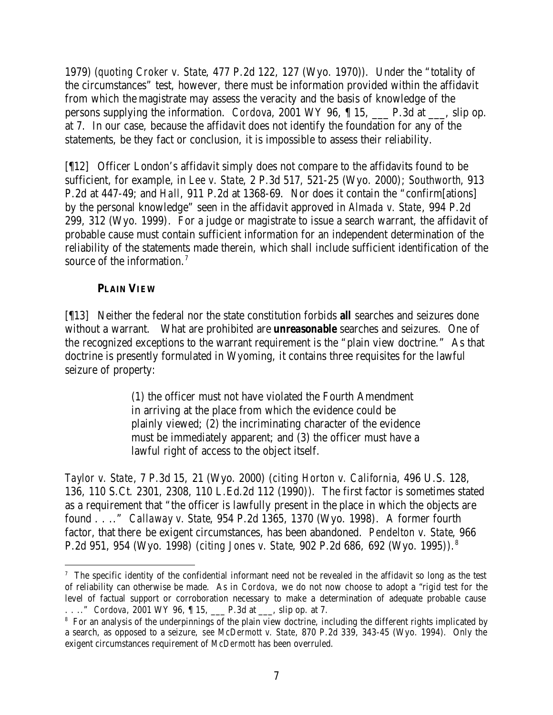1979) (*quoting Croker v. State*, 477 P.2d 122, 127 (Wyo. 1970)). Under the "totality of the circumstances" test, however, there must be information provided within the affidavit from which the magistrate may assess the veracity and the basis of knowledge of the persons supplying the information. *Cordova*, 2001 WY 96, ¶ 15, \_\_\_ P.3d at \_\_\_, slip op. at 7. In our case, because the affidavit does not identify the foundation for any of the statements, be they fact or conclusion, it is impossible to assess their reliability.

[¶12] Officer London's affidavit simply does not compare to the affidavits found to be sufficient, for example, in *Lee v. State*, 2 P.3d 517, 521-25 (Wyo. 2000); *Southworth*, 913 P.2d at 447-49; and *Hall*, 911 P.2d at 1368-69. Nor does it contain the "confirm[ations] by the personal knowledge" seen in the affidavit approved in *Almada v. State*, 994 P.2d 299, 312 (Wyo. 1999). For a judge or magistrate to issue a search warrant, the affidavit of probable cause must contain sufficient information for an independent determination of the reliability of the statements made therein, which shall include sufficient identification of the source of the information.<sup>7</sup>

## **PLAIN VIEW**

[¶13] Neither the federal nor the state constitution forbids *all* searches and seizures done without a warrant. What are prohibited are *unreasonable* searches and seizures. One of the recognized exceptions to the warrant requirement is the "plain view doctrine." As that doctrine is presently formulated in Wyoming, it contains three requisites for the lawful seizure of property:

> (1) the officer must not have violated the Fourth Amendment in arriving at the place from which the evidence could be plainly viewed; (2) the incriminating character of the evidence must be immediately apparent; and (3) the officer must have a lawful right of access to the object itself.

*Taylor v. State*, 7 P.3d 15, 21 (Wyo. 2000) (*citing Horton v. California*, 496 U.S. 128, 136, 110 S.Ct. 2301, 2308, 110 L.Ed.2d 112 (1990)). The first factor is sometimes stated as a requirement that "the officer is lawfully present in the place in which the objects are found . . .." *Callaway v. State*, 954 P.2d 1365, 1370 (Wyo. 1998). A former fourth factor, that there be exigent circumstances, has been abandoned. *Pendelton v. State*, 966 P.2d 951, 954 (Wyo. 1998) (*citing Jones v. State*, 902 P.2d 686, 692 (Wyo. 1995)).<sup>8</sup>

<sup>&</sup>lt;sup>7</sup> The specific identity of the confidential informant need not be revealed in the affidavit so long as the test of reliability can otherwise be made. As in *Cordova*, we do not now choose to adopt a "rigid test for the level of factual support or corroboration necessary to make a determination of adequate probable cause . . .." *Cordova*, 2001 WY 96, ¶ 15, \_\_\_ P.3d at \_\_\_, slip op. at 7.

<sup>8</sup> For an analysis of the underpinnings of the plain view doctrine, including the different rights implicated by a search, as opposed to a seizure, *see McDermott v. State*, 870 P.2d 339, 343-45 (Wyo. 1994). Only the exigent circumstances requirement of *McDermott* has been overruled.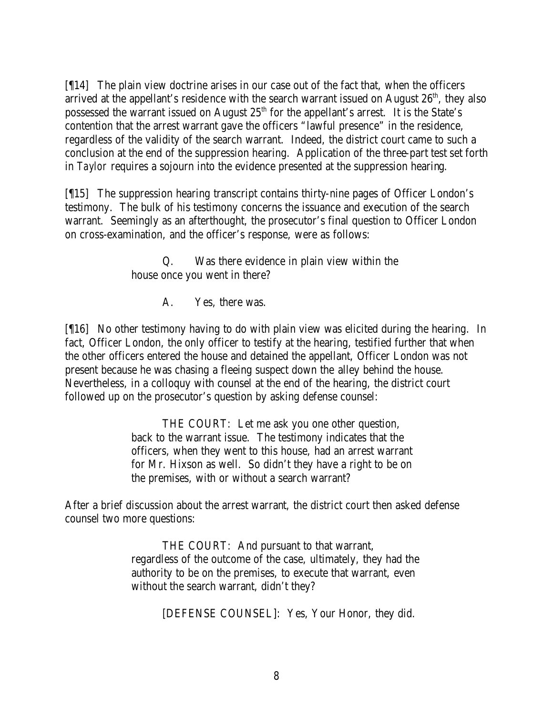[¶14] The plain view doctrine arises in our case out of the fact that, when the officers arrived at the appellant's residence with the search warrant issued on August  $26<sup>th</sup>$ , they also possessed the warrant issued on August  $25<sup>th</sup>$  for the appellant's arrest. It is the State's contention that the arrest warrant gave the officers "lawful presence" in the residence, regardless of the validity of the search warrant. Indeed, the district court came to such a conclusion at the end of the suppression hearing. Application of the three-part test set forth in *Taylor* requires a sojourn into the evidence presented at the suppression hearing.

[¶15] The suppression hearing transcript contains thirty-nine pages of Officer London's testimony. The bulk of his testimony concerns the issuance and execution of the search warrant. Seemingly as an afterthought, the prosecutor's final question to Officer London on cross-examination, and the officer's response, were as follows:

> Q. Was there evidence in plain view within the house once you went in there?

> > A. Yes, there was.

[¶16] No other testimony having to do with plain view was elicited during the hearing. In fact, Officer London, the only officer to testify at the hearing, testified further that when the other officers entered the house and detained the appellant, Officer London was not present because he was chasing a fleeing suspect down the alley behind the house. Nevertheless, in a colloquy with counsel at the end of the hearing, the district court followed up on the prosecutor's question by asking defense counsel:

> THE COURT: Let me ask you one other question, back to the warrant issue. The testimony indicates that the officers, when they went to this house, had an arrest warrant for Mr. Hixson as well. So didn't they have a right to be on the premises, with or without a search warrant?

After a brief discussion about the arrest warrant, the district court then asked defense counsel two more questions:

> THE COURT: And pursuant to that warrant, regardless of the outcome of the case, ultimately, they had the authority to be on the premises, to execute that warrant, even without the search warrant, didn't they?

> > [DEFENSE COUNSEL]: Yes, Your Honor, they did.